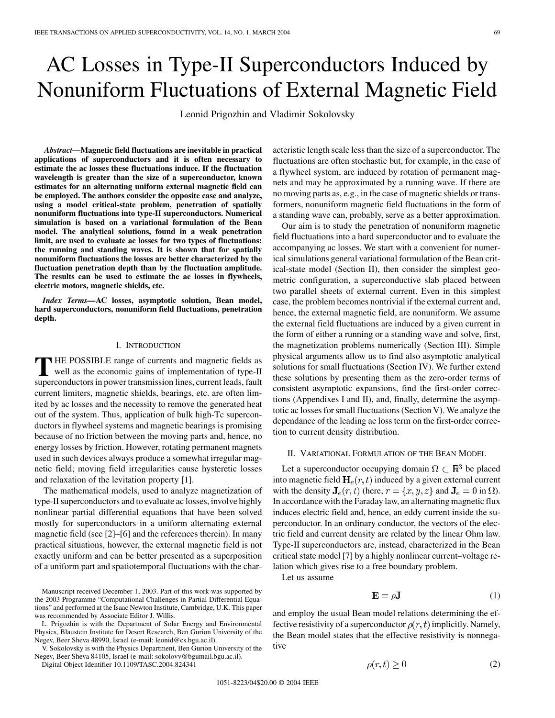# AC Losses in Type-II Superconductors Induced by Nonuniform Fluctuations of External Magnetic Field

Leonid Prigozhin and Vladimir Sokolovsky

*Abstract—***Magnetic field fluctuations are inevitable in practical applications of superconductors and it is often necessary to estimate the ac losses these fluctuations induce. If the fluctuation wavelength is greater than the size of a superconductor, known estimates for an alternating uniform external magnetic field can be employed. The authors consider the opposite case and analyze, using a model critical-state problem, penetration of spatially nonuniform fluctuations into type-II superconductors. Numerical simulation is based on a variational formulation of the Bean model. The analytical solutions, found in a weak penetration limit, are used to evaluate ac losses for two types of fluctuations: the running and standing waves. It is shown that for spatially nonuniform fluctuations the losses are better characterized by the fluctuation penetration depth than by the fluctuation amplitude. The results can be used to estimate the ac losses in flywheels, electric motors, magnetic shields, etc.**

*Index Terms—***AC losses, asymptotic solution, Bean model, hard superconductors, nonuniform field fluctuations, penetration depth.**

## I. INTRODUCTION

**T** HE POSSIBLE range of currents and magnetic fields as well as the economic gains of implementation of type-II superconductors in power transmission lines, current leads, fault current limiters, magnetic shields, bearings, etc. are often limited by ac losses and the necessity to remove the generated heat out of the system. Thus, application of bulk high-Tc superconductors in flywheel systems and magnetic bearings is promising because of no friction between the moving parts and, hence, no energy losses by friction. However, rotating permanent magnets used in such devices always produce a somewhat irregular magnetic field; moving field irregularities cause hysteretic losses and relaxation of the levitation property [\[1](#page-11-0)].

The mathematical models, used to analyze magnetization of type-II superconductors and to evaluate ac losses, involve highly nonlinear partial differential equations that have been solved mostly for superconductors in a uniform alternating external magnetic field (see [\[2](#page-11-0)]–[[6\]](#page-11-0) and the references therein). In many practical situations, however, the external magnetic field is not exactly uniform and can be better presented as a superposition of a uniform part and spatiotemporal fluctuations with the char-

L. Prigozhin is with the Department of Solar Energy and Environmental Physics, Blaustein Institute for Desert Research, Ben Gurion University of the Negev, Beer Sheva 48990, Israel (e-mail: leonid@cs.bgu.ac.il).

V. Sokolovsky is with the Physics Department, Ben Gurion University of the Negev, Beer Sheva 84105, Israel (e-mail: sokolovv@bgumail.bgu.ac.il).

Digital Object Identifier 10.1109/TASC.2004.824341

acteristic length scale less than the size of a superconductor. The fluctuations are often stochastic but, for example, in the case of a flywheel system, are induced by rotation of permanent magnets and may be approximated by a running wave. If there are no moving parts as, e.g., in the case of magnetic shields or transformers, nonuniform magnetic field fluctuations in the form of a standing wave can, probably, serve as a better approximation.

Our aim is to study the penetration of nonuniform magnetic field fluctuations into a hard superconductor and to evaluate the accompanying ac losses. We start with a convenient for numerical simulations general variational formulation of the Bean critical-state model (Section II), then consider the simplest geometric configuration, a superconductive slab placed between two parallel sheets of external current. Even in this simplest case, the problem becomes nontrivial if the external current and, hence, the external magnetic field, are nonuniform. We assume the external field fluctuations are induced by a given current in the form of either a running or a standing wave and solve, first, the magnetization problems numerically (Section III). Simple physical arguments allow us to find also asymptotic analytical solutions for small fluctuations (Section IV). We further extend these solutions by presenting them as the zero-order terms of consistent asymptotic expansions, find the first-order corrections (Appendixes I and II), and, finally, determine the asymptotic ac losses for small fluctuations (Section V). We analyze the dependance of the leading ac loss term on the first-order correction to current density distribution.

## II. VARIATIONAL FORMULATION OF THE BEAN MODEL

Let a superconductor occupying domain  $\Omega \subset \mathbb{R}^3$  be placed into magnetic field  $H_e(r, t)$  induced by a given external current with the density  $J_e(r, t)$  (here,  $r = \{x, y, z\}$  and  $J_e = 0$  in  $\Omega$ ). In accordance with the Faraday law, an alternating magnetic flux induces electric field and, hence, an eddy current inside the superconductor. In an ordinary conductor, the vectors of the electric field and current density are related by the linear Ohm law. Type-II superconductors are, instead, characterized in the Bean critical state model [\[7](#page-11-0)] by a highly nonlinear current–voltage relation which gives rise to a free boundary problem.

Let us assume

$$
\mathbf{E} = \rho \mathbf{J} \tag{1}
$$

and employ the usual Bean model relations determining the effective resistivity of a superconductor  $\rho(r, t)$  implicitly. Namely, the Bean model states that the effective resistivity is nonnegative

$$
\rho(r,t) \ge 0 \tag{2}
$$

Manuscript received December 1, 2003. Part of this work was supported by the 2003 Programme "Computational Challenges in Partial Differential Equations" and performed at the Isaac Newton Institute, Cambridge, U.K. This paper was recommended by Associate Editor J. Willis.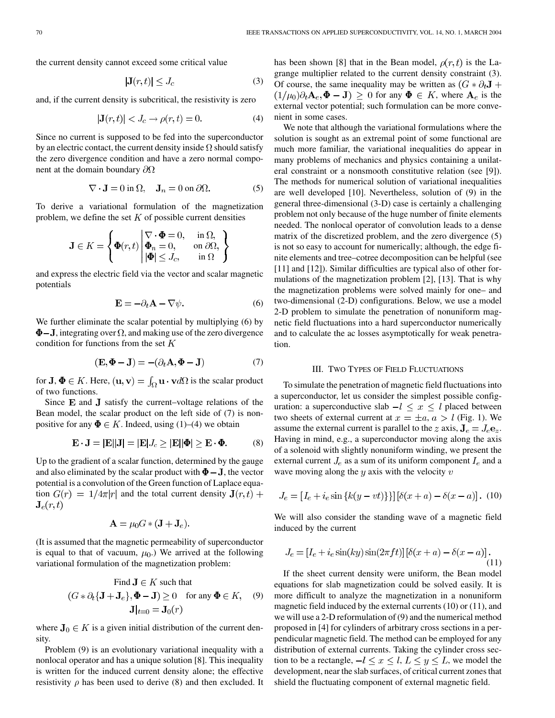the current density cannot exceed some critical value

$$
|\mathbf{J}(r,t)| \le J_c \tag{3}
$$

and, if the current density is subcritical, the resistivity is zero

$$
|\mathbf{J}(r,t)| < J_c \to \rho(r,t) = 0. \tag{4}
$$

Since no current is supposed to be fed into the superconductor by an electric contact, the current density inside  $\Omega$  should satisfy the zero divergence condition and have a zero normal component at the domain boundary  $\partial\Omega$ 

$$
\nabla \cdot \mathbf{J} = 0 \text{ in } \Omega, \quad \mathbf{J}_n = 0 \text{ on } \partial \Omega. \tag{5}
$$

To derive a variational formulation of the magnetization problem, we define the set  $K$  of possible current densities

$$
\mathbf{J} \in K = \left\{ \Phi(r,t) \middle| \begin{aligned} \nabla \cdot \Phi &= 0, & \text{in } \Omega, \\ \Phi_n &= 0, & \text{on } \partial \Omega, \\ \left| \Phi \right| &\leq J_c, & \text{in } \Omega \end{aligned} \right\}
$$

and express the electric field via the vector and scalar magnetic potentials

$$
\mathbf{E} = -\partial_t \mathbf{A} - \nabla \psi.
$$
 (6)

We further eliminate the scalar potential by multiplying (6) by  $\Phi$ –J, integrating over  $\Omega$ , and making use of the zero divergence condition for functions from the set  $K$ 

$$
(\mathbf{E}, \mathbf{\Phi} - \mathbf{J}) = -(\partial_t \mathbf{A}, \mathbf{\Phi} - \mathbf{J})
$$
\n(7)

for **J**,  $\Phi \in K$ . Here,  $(\mathbf{u}, \mathbf{v}) = \int_{\Omega} \mathbf{u} \cdot \mathbf{v} d\Omega$  is the scalar product of two functions.

Since  $E$  and  $J$  satisfy the current–voltage relations of the Bean model, the scalar product on the left side of (7) is nonpositive for any  $\Phi \in K$ . Indeed, using (1)–(4) we obtain

$$
\mathbf{E} \cdot \mathbf{J} = |\mathbf{E}||\mathbf{J}| = |\mathbf{E}|J_c \ge |\mathbf{E}||\mathbf{\Phi}| \ge \mathbf{E} \cdot \mathbf{\Phi}.\tag{8}
$$

Up to the gradient of a scalar function, determined by the gauge and also eliminated by the scalar product with  $\Phi - J$ , the vector potential is a convolution of the Green function of Laplace equation  $G(r) = 1/4\pi|r|$  and the total current density  $J(r, t)$  +  $\mathbf{J}_e(r,t)$ 

$$
\mathbf{A} = \mu_0 G * (\mathbf{J} + \mathbf{J}_e).
$$

(It is assumed that the magnetic permeability of superconductor is equal to that of vacuum,  $\mu_0$ .) We arrived at the following variational formulation of the magnetization problem:

Find 
$$
\mathbf{J} \in K
$$
 such that  
\n $(G * \partial_t {\mathbf{J} + \mathbf{J}_e}, \mathbf{\Phi} - \mathbf{J}) \ge 0$  for any  $\mathbf{\Phi} \in K$ , (9)  
\n $\mathbf{J}|_{t=0} = \mathbf{J}_0(r)$ 

where  $J_0 \in K$  is a given initial distribution of the current density.

Problem (9) is an evolutionary variational inequality with a nonlocal operator and has a unique solution [[8\]](#page-11-0). This inequality is written for the induced current density alone; the effective resistivity  $\rho$  has been used to derive (8) and then excluded. It has been shown [\[8](#page-11-0)] that in the Bean model,  $\rho(r, t)$  is the Lagrange multiplier related to the current density constraint (3). Of course, the same inequality may be written as  $(G * \partial_t \mathbf{J} +$  $(1/\mu_0)\partial_t \mathbf{A}_e, \mathbf{\Phi} - \mathbf{J}$   $\geq 0$  for any  $\mathbf{\Phi} \in K$ , where  $\mathbf{A}_e$  is the external vector potential; such formulation can be more convenient in some cases.

We note that although the variational formulations where the solution is sought as an extremal point of some functional are much more familiar, the variational inequalities do appear in many problems of mechanics and physics containing a unilateral constraint or a nonsmooth constitutive relation (see [[9\]](#page-11-0)). The methods for numerical solution of variational inequalities are well developed [\[10](#page-11-0)]. Nevertheless, solution of (9) in the general three-dimensional (3-D) case is certainly a challenging problem not only because of the huge number of finite elements needed. The nonlocal operator of convolution leads to a dense matrix of the discretized problem, and the zero divergence (5) is not so easy to account for numerically; although, the edge finite elements and tree–cotree decomposition can be helpful (see [[11\]](#page-11-0) and [\[12](#page-11-0)]). Similar difficulties are typical also of other formulations of the magnetization problem [\[2](#page-11-0)], [\[13](#page-11-0)]. That is why the magnetization problems were solved mainly for one– and two-dimensional (2-D) configurations. Below, we use a model 2-D problem to simulate the penetration of nonuniform magnetic field fluctuations into a hard superconductor numerically and to calculate the ac losses asymptotically for weak penetration.

## III. TWO TYPES OF FIELD FLUCTUATIONS

To simulate the penetration of magnetic field fluctuations into a superconductor, let us consider the simplest possible configuration: a superconductive slab  $-l \leq x \leq l$  placed between two sheets of external current at  $x = \pm a$ ,  $a > l$  (Fig. 1). We assume the external current is parallel to the z axis,  $J_e = J_e e_z$ . Having in mind, e.g., a superconductor moving along the axis of a solenoid with slightly nonuniform winding, we present the external current  $J_e$  as a sum of its uniform component  $I_e$  and a wave moving along the  $y$  axis with the velocity  $v$ 

$$
J_e = [I_e + i_e \sin\{k(y - vt)\}] [\delta(x + a) - \delta(x - a)]. \tag{10}
$$

We will also consider the standing wave of a magnetic field induced by the current

$$
J_e = [I_e + i_e \sin(ky)\sin(2\pi ft)] [\delta(x+a) - \delta(x-a)].
$$
\n(11)

If the sheet current density were uniform, the Bean model equations for slab magnetization could be solved easily. It is more difficult to analyze the magnetization in a nonuniform magnetic field induced by the external currents (10) or (11), and we will use a 2-D reformulation of (9) and the numerical method proposed in [[4\]](#page-11-0) for cylinders of arbitrary cross sections in a perpendicular magnetic field. The method can be employed for any distribution of external currents. Taking the cylinder cross section to be a rectangle,  $-l \leq x \leq l$ ,  $L \leq y \leq L$ , we model the development, near the slab surfaces, of critical current zones that shield the fluctuating component of external magnetic field.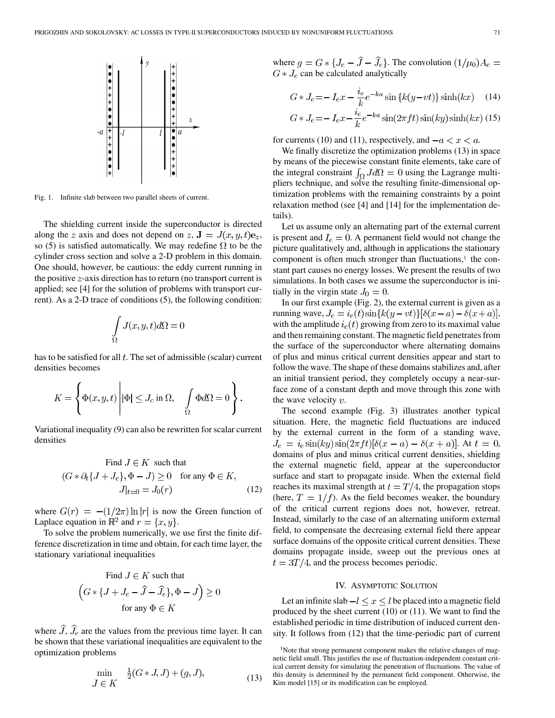

Fig. 1. Infinite slab between two parallel sheets of current.

The shielding current inside the superconductor is directed along the z axis and does not depend on z,  $\mathbf{J} = J(x, y, t)\mathbf{e}_z$ , so (5) is satisfied automatically. We may redefine  $\Omega$  to be the cylinder cross section and solve a 2-D problem in this domain. One should, however, be cautious: the eddy current running in the positive  $z$ -axis direction has to return (no transport current is applied; see [\[4](#page-11-0)] for the solution of problems with transport current). As a 2-D trace of conditions (5), the following condition:

$$
\int_{\Omega} J(x, y, t)d\Omega = 0
$$

has to be satisfied for all  $t$ . The set of admissible (scalar) current densities becomes

$$
K = \left\{ \Phi(x, y, t) \middle| \Phi \middle| \leq J_c \text{ in } \Omega, \quad \int_{\Omega} \Phi d\Omega = 0 \right\}.
$$

Variational inequality (9) can also be rewritten for scalar current densities

Find 
$$
J \in K
$$
 such that  
\n $(G * \partial_t \{J + J_e\}, \Phi - J) \ge 0$  for any  $\Phi \in K$ ,  
\n $J|_{t=0} = J_0(r)$  (12)

where  $G(r) = -(1/2\pi) \ln |r|$  is now the Green function of Laplace equation in  $\mathbb{R}^2$  and  $r = \{x, y\}.$ 

To solve the problem numerically, we use first the finite difference discretization in time and obtain, for each time layer, the stationary variational inequalities

Find 
$$
J \in K
$$
 such that  
\n
$$
(G * \{J + J_e - \hat{J} - \hat{J}_e\}, \Phi - J) \ge 0
$$
\nfor any  $\Phi \in K$ 

where  $\widehat{J}$ ,  $\widehat{J}_e$  are the values from the previous time layer. It can be shown that these variational inequalities are equivalent to the optimization problems

$$
\min_{J \in K} \frac{1}{2}(G \ast J, J) + (g, J),\tag{13}
$$

where  $g = G * \{J_e - \hat{J} - \hat{J}_e\}$ . The convolution  $(1/\mu_0)A_e =$  $G\ast J_{e}$  can be calculated analytically

$$
G \ast J_e = -I_e x - \frac{i_e}{k} e^{-ka} \sin\left\{k(y - vt)\right\} \sinh(kx) \quad (14)
$$

$$
G \ast J_e = -I_e x - \frac{\iota_e}{k} e^{-ka} \sin(2\pi ft) \sin(ky) \sinh(kx) \tag{15}
$$

for currents (10) and (11), respectively, and  $-a < x < a$ .

We finally discretize the optimization problems (13) in space by means of the piecewise constant finite elements, take care of the integral constraint  $\int_{\Omega} J d\Omega = 0$  using the Lagrange multipliers technique, and solve the resulting finite-dimensional optimization problems with the remaining constraints by a point relaxation method (see [\[4](#page-11-0)] and [\[14](#page-11-0)] for the implementation details).

Let us assume only an alternating part of the external current is present and  $I_e = 0$ . A permanent field would not change the picture qualitatively and, although in applications the stationary component is often much stronger than fluctuations,<sup>1</sup> the constant part causes no energy losses. We present the results of two simulations. In both cases we assume the superconductor is initially in the virgin state  $J_0 = 0$ .

In our first example (Fig. 2), the external current is given as a running wave,  $J_e = i_e(t) \sin{k(y - vt)}[\delta(x - a) - \delta(x + a)],$ with the amplitude  $i_e(t)$  growing from zero to its maximal value and then remaining constant. The magnetic field penetrates from the surface of the superconductor where alternating domains of plus and minus critical current densities appear and start to follow the wave. The shape of these domains stabilizes and, after an initial transient period, they completely occupy a near-surface zone of a constant depth and move through this zone with the wave velocity  $v$ .

The second example (Fig. 3) illustrates another typical situation. Here, the magnetic field fluctuations are induced by the external current in the form of a standing wave,  $J_e = i_e \sin(ky) \sin(2\pi ft) [\delta(x - a) - \delta(x + a)].$  At  $t = 0$ , domains of plus and minus critical current densities, shielding the external magnetic field, appear at the superconductor surface and start to propagate inside. When the external field reaches its maximal strength at  $t = T/4$ , the propagation stops (here,  $T = 1/f$ ). As the field becomes weaker, the boundary of the critical current regions does not, however, retreat. Instead, similarly to the case of an alternating uniform external field, to compensate the decreasing external field there appear surface domains of the opposite critical current densities. These domains propagate inside, sweep out the previous ones at  $t = 3T/4$ , and the process becomes periodic.

## IV. ASYMPTOTIC SOLUTION

Let an infinite slab  $-l \le x \le l$  be placed into a magnetic field produced by the sheet current (10) or (11). We want to find the established periodic in time distribution of induced current density. It follows from (12) that the time-periodic part of current

<sup>&</sup>lt;sup>1</sup>Note that strong permanent component makes the relative changes of magnetic field small. This justifies the use of fluctuation-independent constant critical current density for simulating the penetration of fluctuations. The value of this density is determined by the permanent field component. Otherwise, the Kim model [\[15](#page-11-0)] or its modification can be employed.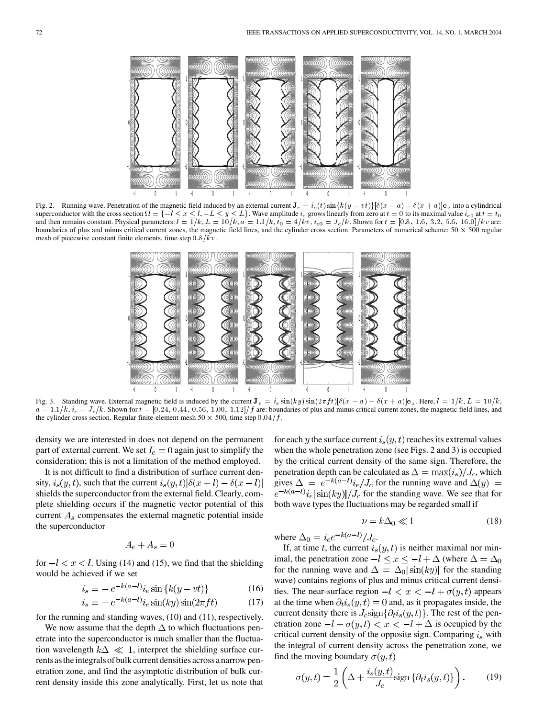

Fig. 2. Running wave. Penetration of the magnetic field induced by an external current  $J_e = i_e(t) \sin{k(y - vt)}[\delta(x - a) - \delta(x + a)]e_z$  into a cylindrical superconductor with the cross section  $\Omega = \{-l \le x \le l, -L \le y \le L\}$ . Wave amplitude  $i_e$  grows linearly from zero at  $t = 0$  to its maximal value  $i_{e0}$  at  $t = t$ and then remains constant. Physical parameters:  $l = 1/k$ ,  $L = 10/k$ ,  $a = 1.1/k$ ,  $t_0 = 4/kv$ ,  $i_{e0} = J_c/k$ . Shown for  $t = [0.8, 1.6, 3.2, 5.6, 16.0]/kv$  are: boundaries of plus and minus critical current zones, the magnetic field lines, and the cylinder cross section. Parameters of numerical scheme:  $50 \times 500$  regular mesh of piecewise constant finite elements, time step  $0.8/kv$ .



Fig. 3. Standing wave. External magnetic field is induced by the current  $J_e = i_e \sin(ky) \sin(2\pi ft) [\delta(x - a) - \delta(x + a)]e_z$ . Here,  $l = 1/k$ ,  $L = 10/k$ ,  $a = 1.1/k$ ,  $i_e = J_c/k$ . Shown for  $t = [0.24, 0.44, 0.56, 1.00, 1.12]/f$  are: boundaries of plus and minus critical current zones, the magnetic field lines, and the cylinder cross section. Regular finite-element mesh  $50 \times 500$ , time step  $0.04/f$ .

density we are interested in does not depend on the permanent part of external current. We set  $I_e = 0$  again just to simplify the consideration; this is not a limitation of the method employed.

It is not difficult to find a distribution of surface current density,  $i_s(y,t)$ , such that the current  $i_s(y,t)[\delta(x+l) - \delta(x-l)]$ shields the superconductor from the external field. Clearly, complete shielding occurs if the magnetic vector potential of this current  $A_s$  compensates the external magnetic potential inside the superconductor

$$
A_e + A_s = 0
$$

for  $-l < x < l$ . Using (14) and (15), we find that the shielding would be achieved if we set

$$
i_s = -e^{-k(a-l)}i_e \sin\{k(y - vt)\}
$$
 (16)

$$
i_s = -e^{-k(a-l)}i_e \sin(ky) \sin(2\pi ft) \tag{17}
$$

for the running and standing waves, (10) and (11), respectively.

We now assume that the depth  $\Delta$  to which fluctuations penetrate into the superconductor is much smaller than the fluctuation wavelength  $k\Delta \ll 1$ , interpret the shielding surface currents as the integrals of bulk current densities across a narrow penetration zone, and find the asymptotic distribution of bulk current density inside this zone analytically. First, let us note that for each y the surface current  $i_s(y, t)$  reaches its extremal values when the whole penetration zone (see Figs. 2 and 3) is occupied by the critical current density of the same sign. Therefore, the penetration depth can be calculated as  $\Delta = \max(i_s)/J_c$ , which gives  $\Delta = e^{-k(a-l)}i_e/J_c$  for the running wave and  $\Delta(y)$  $\int e^{-k(a-l)} i_e |\sin(ky)|/J_c$  for the standing wave. We see that for both wave types the fluctuations may be regarded small if

$$
\nu = k\Delta_0 \ll 1\tag{18}
$$

where  $\Delta_0 = i_e e^{-k(a-l)} / J_c$ .

If, at time t, the current  $i_s(y, t)$  is neither maximal nor minimal, the penetration zone  $-l \leq x \leq -l+\Delta$  (where  $\Delta = \Delta_0$ for the running wave and  $\Delta = \Delta_0 |\sin(ky)|$  for the standing wave) contains regions of plus and minus critical current densities. The near-surface region  $-l < x < -l + \sigma(y, t)$  appears at the time when  $\partial_t i_s(y, t) = 0$  and, as it propagates inside, the current density there is  $J_c$  sign $\{\partial_t i_s(y,t)\}\$ . The rest of the penetration zone  $-l + \sigma(y, t) < x < -l + \Delta$  is occupied by the critical current density of the opposite sign. Comparing  $i_s$  with the integral of current density across the penetration zone, we find the moving boundary  $\sigma(y, t)$ 

$$
\sigma(y,t) = \frac{1}{2} \left( \Delta + \frac{i_s(y,t)}{J_c} \text{sign} \left\{ \partial_t i_s(y,t) \right\} \right). \tag{19}
$$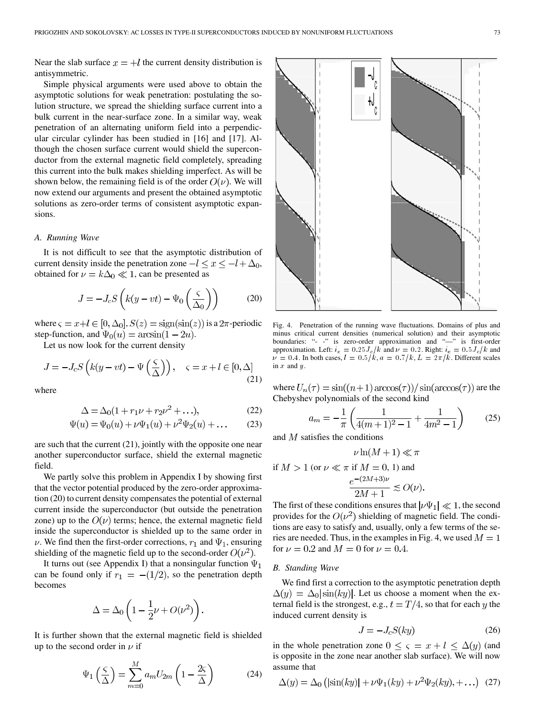Near the slab surface  $x = +l$  the current density distribution is antisymmetric.

Simple physical arguments were used above to obtain the asymptotic solutions for weak penetration: postulating the solution structure, we spread the shielding surface current into a bulk current in the near-surface zone. In a similar way, weak penetration of an alternating uniform field into a perpendicular circular cylinder has been studied in [[16\]](#page-11-0) and [\[17\]](#page-11-0). Although the chosen surface current would shield the superconductor from the external magnetic field completely, spreading this current into the bulk makes shielding imperfect. As will be shown below, the remaining field is of the order  $O(\nu)$ . We will now extend our arguments and present the obtained asymptotic solutions as zero-order terms of consistent asymptotic expansions.

## *A. Running Wave*

It is not difficult to see that the asymptotic distribution of current density inside the penetration zone  $-l \le x \le -l + \Delta_0$ , obtained for  $\nu = k\Delta_0 \ll 1$ , can be presented as

$$
J = -J_c S\left(k(y - vt) - \Psi_0\left(\frac{\varsigma}{\Delta_0}\right)\right) \tag{20}
$$

where  $\varsigma = x + l \in [0, \Delta_0], S(z) = sign(sin(z))$  is a  $2\pi$ -periodic step-function, and  $\Psi_0(u) = \arcsin(1 - 2u)$ .

Let us now look for the current density

$$
J = -J_c S\left(k(y - vt) - \Psi\left(\frac{\varsigma}{\Delta}\right)\right), \quad \varsigma = x + l \in [0, \Delta]
$$
\n(21)

where

$$
\Delta = \Delta_0 (1 + r_1 \nu + r_2 \nu^2 + \ldots),\tag{22}
$$

$$
\Psi(u) = \Psi_0(u) + \nu \Psi_1(u) + \nu^2 \Psi_2(u) + \dots
$$
 (23)

are such that the current (21), jointly with the opposite one near another superconductor surface, shield the external magnetic field.

We partly solve this problem in Appendix I by showing first that the vector potential produced by the zero-order approximation (20) to current density compensates the potential of external current inside the superconductor (but outside the penetration zone) up to the  $O(\nu)$  terms; hence, the external magnetic field inside the superconductor is shielded up to the same order in  $\nu$ . We find then the first-order corrections,  $r_1$  and  $\Psi_1$ , ensuring shielding of the magnetic field up to the second-order  $O(\nu^2)$ .

It turns out (see Appendix I) that a nonsingular function  $\Psi_1$ can be found only if  $r_1 = -(1/2)$ , so the penetration depth becomes

$$
\Delta = \Delta_0 \left( 1 - \frac{1}{2} \nu + O(\nu^2) \right).
$$

It is further shown that the external magnetic field is shielded up to the second order in  $\nu$  if

$$
\Psi_1\left(\frac{\varsigma}{\Delta}\right) = \sum_{m=0}^{M} a_m U_{2m} \left(1 - \frac{2\varsigma}{\Delta}\right) \tag{24}
$$



Fig. 4. Penetration of the running wave fluctuations. Domains of plus and minus critical current densities (numerical solution) and their asymptotic boundaries: "- -" is zero-order approximation and "—" is first-order approximation. Left:  $i_e = 0.25 J_c/k$  and  $\nu = 0.2$ . Right:  $i_e = 0.5 J_c/k$  and  $\nu = 0.4$ . In both cases,  $l = 0.5/k$ ,  $a = 0.7/k$ ,  $L = 2\pi/k$ . Different scales in  $x$  and  $y$ .

where  $U_n(\tau) = \frac{\sin((n+1)\arccos(\tau))}{\sin(\arccos(\tau))}$  are the Chebyshev polynomials of the second kind

$$
a_m = -\frac{1}{\pi} \left( \frac{1}{4(m+1)^2 - 1} + \frac{1}{4m^2 - 1} \right) \tag{25}
$$

and  $M$  satisfies the conditions

$$
\nu \ln(M+1) \ll \pi
$$

if  $M > 1$  (or  $\nu \ll \pi$  if  $M = 0, 1$ ) and

$$
\frac{e^{-(2M+3)\nu}}{2M+1} \lesssim O(\nu)
$$

The first of these conditions ensures that  $|\nu\Psi_1| \ll 1$ , the second provides for the  $O(\nu^2)$  shielding of magnetic field. The conditions are easy to satisfy and, usually, only a few terms of the series are needed. Thus, in the examples in Fig. 4, we used  $M = 1$ for  $\nu = 0.2$  and  $M = 0$  for  $\nu = 0.4$ .

## *B. Standing Wave*

We find first a correction to the asymptotic penetration depth  $\Delta(y) = \Delta_0 |\sin(ky)|$ . Let us choose a moment when the external field is the strongest, e.g.,  $t = T/4$ , so that for each y the induced current density is

$$
J = -J_c S(ky) \tag{26}
$$

in the whole penetration zone  $0 \leq \varsigma = x + l \leq \Delta(y)$  (and is opposite in the zone near another slab surface). We will now assume that

$$
\Delta(y) = \Delta_0 \left( |\sin(ky)| + \nu \Psi_1(ky) + \nu^2 \Psi_2(ky), + \ldots \right) \tag{27}
$$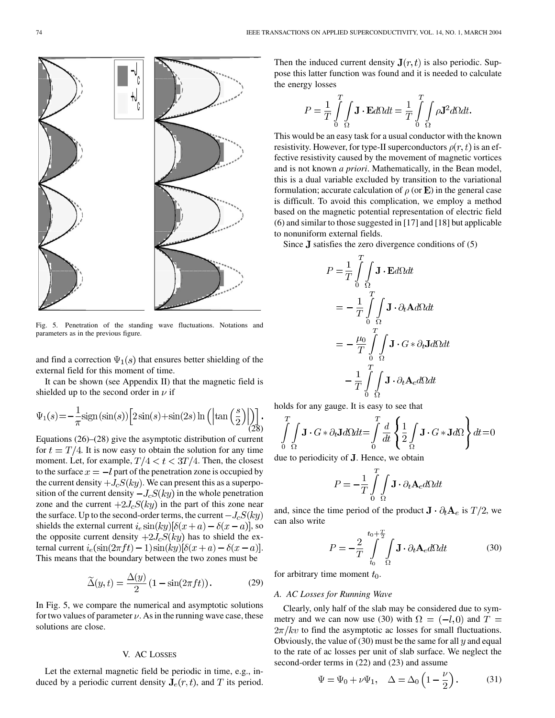

Fig. 5. Penetration of the standing wave fluctuations. Notations and parameters as in the previous figure.

and find a correction  $\Psi_1(s)$  that ensures better shielding of the external field for this moment of time.

It can be shown (see Appendix II) that the magnetic field is shielded up to the second order in  $\nu$  if

$$
\Psi_1(s) = -\frac{1}{\pi} \text{sign}(\sin(s)) \left[ 2\sin(s) + \sin(2s) \ln \left( \left| \tan\left(\frac{s}{2}\right) \right| \right) \right].
$$
\n(28)

Equations (26)–(28) give the asymptotic distribution of current for  $t = T/4$ . It is now easy to obtain the solution for any time moment. Let, for example,  $T/4 < t < 3T/4$ . Then, the closest to the surface  $x = -l$  part of the penetration zone is occupied by the current density  $+J_cS(ky)$ . We can present this as a superposition of the current density  $-J_cS(ky)$  in the whole penetration zone and the current  $+2J_cS(ky)$  in the part of this zone near the surface. Up to the second-order terms, the current  $-J_cS(ky)$ shields the external current  $i_e \sin(ky) [\delta(x+a) - \delta(x-a)]$ , so the opposite current density  $+2J_cS(ky)$  has to shield the external current  $i_e(\sin(2\pi ft) - 1)\sin(ky)[\delta(x+a) - \delta(x-a)].$ This means that the boundary between the two zones must be

$$
\widetilde{\Delta}(y,t) = \frac{\Delta(y)}{2} \left(1 - \sin(2\pi ft)\right). \tag{29}
$$

In Fig. 5, we compare the numerical and asymptotic solutions for two values of parameter  $\nu$ . As in the running wave case, these solutions are close.

### V. AC LOSSES

Let the external magnetic field be periodic in time, e.g., induced by a periodic current density  $J_e(r, t)$ , and T its period. Then the induced current density  $J(r, t)$  is also periodic. Suppose this latter function was found and it is needed to calculate the energy losses

$$
P = \frac{1}{T} \int_{0}^{T} \int_{\Omega} \mathbf{J} \cdot \mathbf{E} d\Omega dt = \frac{1}{T} \int_{0}^{T} \int_{\Omega} \rho \mathbf{J}^{2} d\Omega dt.
$$

This would be an easy task for a usual conductor with the known resistivity. However, for type-II superconductors  $\rho(r, t)$  is an effective resistivity caused by the movement of magnetic vortices and is not known *a priori*. Mathematically, in the Bean model, this is a dual variable excluded by transition to the variational formulation; accurate calculation of  $\rho$  (or **E**) in the general case is difficult. To avoid this complication, we employ a method based on the magnetic potential representation of electric field (6) and similar to those suggested in [[17](#page-11-0)] and [\[18](#page-11-0)] but applicable to nonuniform external fields.

Since  $J$  satisfies the zero divergence conditions of (5)

$$
P = \frac{1}{T} \int_{0}^{T} \int_{\Omega} \mathbf{J} \cdot \mathbf{E} d\Omega dt
$$
  

$$
= -\frac{1}{T} \int_{0}^{T} \int_{\Omega} \mathbf{J} \cdot \partial_t \mathbf{A} d\Omega dt
$$
  

$$
= -\frac{\mu_0}{T} \int_{0}^{T} \int_{\Omega} \mathbf{J} \cdot G \cdot \partial_t \mathbf{J} d\Omega dt
$$
  

$$
- \frac{1}{T} \int_{0}^{T} \int_{\Omega} \mathbf{J} \cdot \partial_t \mathbf{A}_e d\Omega dt
$$

holds for any gauge. It is easy to see that

$$
\int_{0}^{T} \int_{\Omega} \mathbf{J} \cdot G \cdot \partial_t \mathbf{J} d\Omega dt = \int_{0}^{T} \frac{d}{dt} \left\{ \frac{1}{2} \int_{\Omega} \mathbf{J} \cdot G \cdot \mathbf{J} d\Omega \right\} dt = 0
$$

due to periodicity of  $J$ . Hence, we obtain

$$
P = -\frac{1}{T} \int_{0}^{T} \int_{\Omega} \mathbf{J} \cdot \partial_t \mathbf{A}_e d\Omega dt
$$

and, since the time period of the product  $\mathbf{J} \cdot \partial_t \mathbf{A}_e$  is  $T/2$ , we can also write

$$
P = -\frac{2}{T} \int_{t_0}^{t_0 + \frac{T}{2}} \int_{\Omega} \mathbf{J} \cdot \partial_t \mathbf{A}_e d\Omega dt
$$
 (30)

for arbitrary time moment  $t_0$ .

# *A. AC Losses for Running Wave*

Clearly, only half of the slab may be considered due to symmetry and we can now use (30) with  $\Omega = (-l, 0)$  and  $T =$  $2\pi/kv$  to find the asymptotic ac losses for small fluctuations. Obviously, the value of (30) must be the same for all  $y$  and equal to the rate of ac losses per unit of slab surface. We neglect the second-order terms in (22) and (23) and assume

$$
\Psi = \Psi_0 + \nu \Psi_1, \quad \Delta = \Delta_0 \left( 1 - \frac{\nu}{2} \right). \tag{31}
$$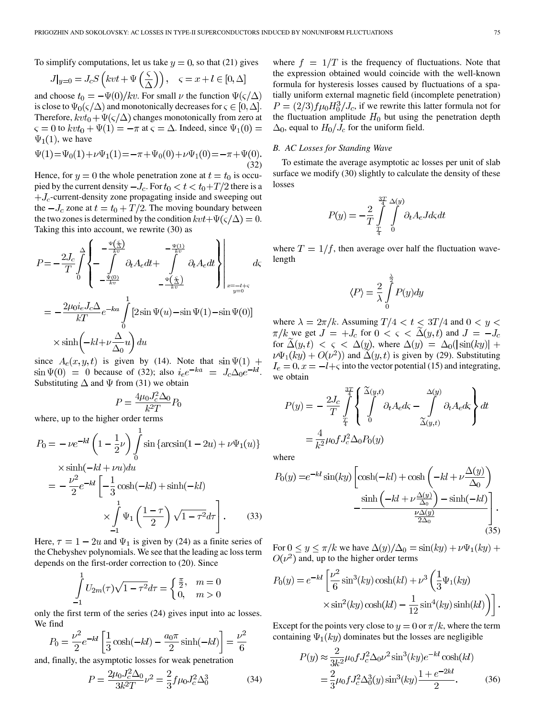To simplify computations, let us take  $y = 0$ , so that (21) gives

$$
J|_{y=0} = J_c S\left(kvt + \Psi\left(\frac{\varsigma}{\Delta}\right)\right), \quad \varsigma = x + l \in [0, \Delta]
$$

and choose  $t_0 = -\Psi(0)/kv$ . For small  $\nu$  the function  $\Psi(\varsigma/\Delta)$ is close to  $\Psi_0(\varsigma/\Delta)$  and monotonically decreases for  $\varsigma \in [0, \Delta]$ . Therefore,  $kvt_0 + \Psi(\varsigma/\Delta)$  changes monotonically from zero at  $\varsigma = 0$  to  $kvt_0 + \Psi(1) = -\pi$  at  $\varsigma = \Delta$ . Indeed, since  $\Psi_1(0) =$  $\Psi_1(1)$ , we have

$$
\Psi(1) = \Psi_0(1) + \nu \Psi_1(1) = -\pi + \Psi_0(0) + \nu \Psi_1(0) = -\pi + \Psi(0).
$$
\n(32)

Hence, for  $y = 0$  the whole penetration zone at  $t = t_0$  is occupied by the current density  $-J_c$ . For  $t_0 < t < t_0+T/2$  there is a  $+J_c$ -current-density zone propagating inside and sweeping out the  $-J_c$  zone at  $t = t_0 + T/2$ . The moving boundary between the two zones is determined by the condition  $kvt + \Psi(\varsigma/\Delta) = 0$ . Taking this into account, we rewrite (30) as

$$
P = -\frac{2J_c}{T} \int_0^{\Delta} \left\{ -\frac{\frac{\Psi(\frac{c}{\Delta})}{kv}}{\int_0^{\Psi(0)}} \partial_t A_e dt + \int_0^{\frac{\Psi(\frac{c}{\Delta})}{kv}} \partial_t A_e dt \right\} \Bigg|_{x = -t + c}
$$
  
=  $-\frac{2\mu_0 i_e J_c \Delta}{kT} e^{-ka} \int_0^1 [2\sin \Psi(u) - \sin \Psi(1) - \sin \Psi(0)]$   
 $\times \sinh(-kl + \nu \frac{\Delta}{\Delta_0} u) du$ 

since  $A_e(x, y, t)$  is given by (14). Note that  $\sin \Psi(1)$  +  $\sin \Psi(0) = 0$  because of (32); also  $i_e e^{-ka} = J_c \Delta_0 e^{-kl}$ . Substituting  $\Delta$  and  $\Psi$  from (31) we obtain

$$
P = \frac{4\mu_0 J_c^2 \Delta_0}{k^2 T} P_0
$$

where, up to the higher order terms

$$
P_0 = -\nu e^{-kl} \left( 1 - \frac{1}{2} \nu \right) \int_0^1 \sin \left\{ \arcsin(1 - 2u) + \nu \Psi_1(u) \right\}
$$
  
 
$$
\times \sinh(-kl + \nu u) du
$$
  

$$
= -\frac{\nu^2}{2} e^{-kl} \left[ -\frac{1}{3} \cosh(-kl) + \sinh(-kl) \right]
$$
  

$$
\times \int_{-1}^1 \Psi_1 \left( \frac{1 - \tau}{2} \right) \sqrt{1 - \tau^2} d\tau \right].
$$
 (33)

Here,  $\tau = 1 - 2u$  and  $\Psi_1$  is given by (24) as a finite series of the Chebyshev polynomials. We see that the leading ac loss term depends on the first-order correction to (20). Since

$$
\int_{-1}^{1} U_{2m}(\tau)\sqrt{1-\tau^2}d\tau = \begin{cases} \frac{\pi}{2}, & m = 0\\ 0, & m > 0 \end{cases}
$$

only the first term of the series (24) gives input into ac losses. We find

$$
P_0 = \frac{\nu^2}{2} e^{-kl} \left[ \frac{1}{3} \cosh(-kl) - \frac{a_0 \pi}{2} \sinh(-kl) \right] = \frac{\nu^2}{6}
$$

and, finally, the asymptotic losses for weak penetration

$$
P = \frac{2\mu_0 J_c^2 \Delta_0}{3k^2 T} \nu^2 = \frac{2}{3} f \mu_0 J_c^2 \Delta_0^3 \tag{34}
$$

where  $f = 1/T$  is the frequency of fluctuations. Note that the expression obtained would coincide with the well-known formula for hysteresis losses caused by fluctuations of a spatially uniform external magnetic field (incomplete penetration)  $P = (2/3) f \mu_0 H_0^3 / J_c$ , if we rewrite this latter formula not for the fluctuation amplitude  $H_0$  but using the penetration depth  $\Delta_0$ , equal to  $H_0/J_c$  for the uniform field.

# *B. AC Losses for Standing Wave*

To estimate the average asymptotic ac losses per unit of slab surface we modify (30) slightly to calculate the density of these losses

$$
P(y) = -\frac{2}{T} \int_{\frac{T}{4}}^{\frac{3T}{4}} \int_{0}^{\Delta(y)} \partial_t A_e J d\zeta dt
$$

where  $T = 1/f$ , then average over half the fluctuation wavelength

$$
\langle P \rangle = \frac{2}{\lambda} \int_{0}^{\frac{\lambda}{2}} P(y) dy
$$

where  $\lambda = 2\pi/k$ . Assuming  $T/4 < t < 3T/4$  and  $0 < y <$  $\pi/k$  we get  $J = +J_c$  for  $0 < \varsigma < \Delta(y, t)$  and  $J = -J_c$ for  $\tilde{\Delta}(y,t) < \varsigma < \Delta(y)$ , where  $\Delta(y) = \Delta_0(|\sin(ky)| +$  $\nu\Psi_1(ky) + O(\nu^2)$  and  $\tilde{\Delta}(y, t)$  is given by (29). Substituting  $I_e = 0, x = -l + \varsigma$  into the vector potential (15) and integrating, we obtain

$$
P(y) = -\frac{2J_c}{T} \int_{\frac{T}{4}}^{\frac{3T}{4}} \left\{ \int_{0}^{\tilde{\Delta}(y,t)} \partial_t A_e d\zeta - \int_{\tilde{\Delta}(y,t)}^{\Delta(y)} \partial_t A_e d\zeta \right\} dt
$$
  
=  $\frac{4}{k^2} \mu_0 f J_c^2 \Delta_0 P_0(y)$ 

where

$$
P_0(y) = e^{-kl} \sin(ky) \left[ \cosh(-kl) + \cosh\left(-kl + \nu \frac{\Delta(y)}{\Delta_0}\right) - \frac{\sinh\left(-kl + \nu \frac{\Delta(y)}{\Delta_0}\right) - \sinh(-kl)}{\frac{\nu \Delta(y)}{2\Delta_0}} \right].
$$
\n(35)

For  $0 \le y \le \pi/k$  we have  $\Delta(y)/\Delta_0 = \sin(ky) + \nu\Psi_1(ky) +$  $O(\nu^2)$  and, up to the higher order terms

$$
P_0(y) = e^{-kl} \left[ \frac{\nu^2}{6} \sin^3(ky) \cosh(kl) + \nu^3 \left( \frac{1}{3} \Psi_1(ky) \times \sin^2(ky) \cosh(kl) - \frac{1}{12} \sin^4(ky) \sinh(kl) \right) \right]
$$

Except for the points very close to  $y = 0$  or  $\pi/k$ , where the term containing  $\Psi_1(ky)$  dominates but the losses are negligible

$$
P(y) \approx \frac{2}{3k^2} \mu_0 f J_c^2 \Delta_0 \nu^2 \sin^3(ky) e^{-kl} \cosh(kl)
$$
  
=  $\frac{2}{3} \mu_0 f J_c^2 \Delta_0^3(y) \sin^3(ky) \frac{1 + e^{-2kl}}{2}$ . (36)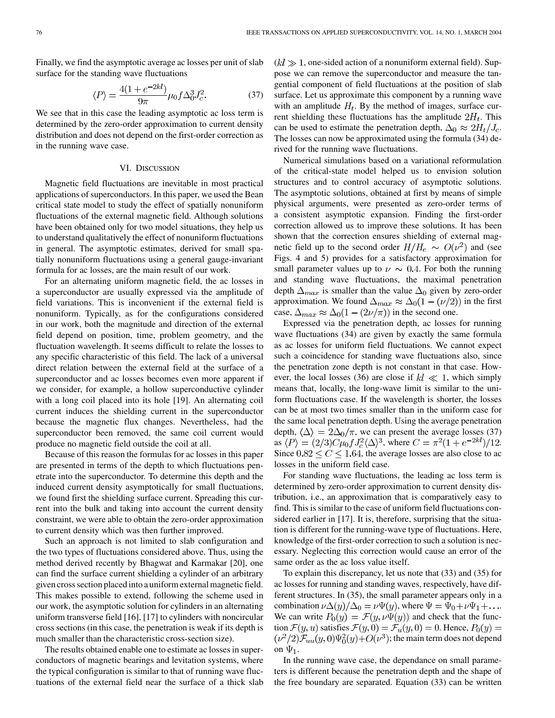Finally, we find the asymptotic average ac losses per unit of slab surface for the standing wave fluctuations

$$
\langle P \rangle = \frac{4(1 + e^{-2kl})}{9\pi} \mu_0 f \Delta_0^3 J_c^2.
$$
 (37)

We see that in this case the leading asymptotic ac loss term is determined by the zero-order approximation to current density distribution and does not depend on the first-order correction as in the running wave case.

## VI. DISCUSSION

Magnetic field fluctuations are inevitable in most practical applications of superconductors. In this paper, we used the Bean critical state model to study the effect of spatially nonuniform fluctuations of the external magnetic field. Although solutions have been obtained only for two model situations, they help us to understand qualitatively the effect of nonuniform fluctuations in general. The asymptotic estimates, derived for small spatially nonuniform fluctuations using a general gauge-invariant formula for ac losses, are the main result of our work.

For an alternating uniform magnetic field, the ac losses in a superconductor are usually expressed via the amplitude of field variations. This is inconvenient if the external field is nonuniform. Typically, as for the configurations considered in our work, both the magnitude and direction of the external field depend on position, time, problem geometry, and the fluctuation wavelength. It seems difficult to relate the losses to any specific characteristic of this field. The lack of a universal direct relation between the external field at the surface of a superconductor and ac losses becomes even more apparent if we consider, for example, a hollow superconductive cylinder with a long coil placed into its hole [\[19](#page-11-0)]. An alternating coil current induces the shielding current in the superconductor because the magnetic flux changes. Nevertheless, had the superconductor been removed, the same coil current would produce no magnetic field outside the coil at all.

Because of this reason the formulas for ac losses in this paper are presented in terms of the depth to which fluctuations penetrate into the superconductor. To determine this depth and the induced current density asymptotically for small fluctuations, we found first the shielding surface current. Spreading this current into the bulk and taking into account the current density constraint, we were able to obtain the zero-order approximation to current density which was then further improved.

Such an approach is not limited to slab configuration and the two types of fluctuations considered above. Thus, using the method derived recently by Bhagwat and Karmakar [\[20](#page-11-0)], one can find the surface current shielding a cylinder of an arbitrary given cross section placed into a uniform external magnetic field. This makes possible to extend, following the scheme used in our work, the asymptotic solution for cylinders in an alternating uniform transverse field [[16\]](#page-11-0), [\[17](#page-11-0)] to cylinders with noncircular cross sections (in this case, the penetration is weak if its depth is much smaller than the characteristic cross-section size).

The results obtained enable one to estimate ac losses in superconductors of magnetic bearings and levitation systems, where the typical configuration is similar to that of running wave fluctuations of the external field near the surface of a thick slab  $(k l \gg 1$ , one-sided action of a nonuniform external field). Suppose we can remove the superconductor and measure the tangential component of field fluctuations at the position of slab surface. Let us approximate this component by a running wave with an amplitude  $H_t$ . By the method of images, surface current shielding these fluctuations has the amplitude  $2H_t$ . This can be used to estimate the penetration depth,  $\Delta_0 \approx 2H_t/J_c$ . The losses can now be approximated using the formula (34) derived for the running wave fluctuations.

Numerical simulations based on a variational reformulation of the critical-state model helped us to envision solution structures and to control accuracy of asymptotic solutions. The asymptotic solutions, obtained at first by means of simple physical arguments, were presented as zero-order terms of a consistent asymptotic expansion. Finding the first-order correction allowed us to improve these solutions. It has been shown that the correction ensures shielding of external magnetic field up to the second order  $H/H_e \sim O(\nu^2)$  and (see Figs. 4 and 5) provides for a satisfactory approximation for small parameter values up to  $\nu \sim 0.4$ . For both the running and standing wave fluctuations, the maximal penetration depth  $\Delta_{max}$  is smaller than the value  $\Delta_0$  given by zero-order approximation. We found  $\Delta_{max} \approx \Delta_0(1 - (\nu/2))$  in the first case,  $\Delta_{max} \approx \Delta_0 (1 - (2\nu/\pi))$  in the second one.

Expressed via the penetration depth, ac losses for running wave fluctuations (34) are given by exactly the same formula as ac losses for uniform field fluctuations. We cannot expect such a coincidence for standing wave fluctuations also, since the penetration zone depth is not constant in that case. However, the local losses (36) are close if  $kl \ll 1$ , which simply means that, locally, the long-wave limit is similar to the uniform fluctuations case. If the wavelength is shorter, the losses can be at most two times smaller than in the uniform case for the same local penetration depth. Using the average penetration depth,  $\langle \Delta \rangle = 2\Delta_0/\pi$ , we can present the average losses (37) as  $\langle P \rangle = (2/3)C\mu_0 f J_c^2 \langle \Delta \rangle^3$ , where  $C = \pi^2 (1 + e^{-2kl})/12$ . Since  $0.82 \le C \le 1.64$ , the average losses are also close to ac losses in the uniform field case.

For standing wave fluctuations, the leading ac loss term is determined by zero-order approximation to current density distribution, i.e., an approximation that is comparatively easy to find. This is similar to the case of uniform field fluctuations considered earlier in [\[17](#page-11-0)]. It is, therefore, surprising that the situation is different for the running-wave type of fluctuations. Here, knowledge of the first-order correction to such a solution is necessary. Neglecting this correction would cause an error of the same order as the ac loss value itself.

To explain this discrepancy, let us note that (33) and (35) for ac losses for running and standing waves, respectively, have different structures. In (35), the small parameter appears only in a combination  $\nu \Delta(y)/\Delta_0 = \nu \Psi(y)$ , where  $\Psi = \Psi_0 + \nu \Psi_1 + ...$ We can write  $P_0(y) = \mathcal{F}(y, \nu \Psi(y))$  and check that the function  $\mathcal{F}(y, u)$  satisfies  $\mathcal{F}(y, 0) = \mathcal{F}_u(y, 0) = 0$ . Hence,  $P_0(y) =$  $(\nu^2/2)\mathcal{F}_{uu}(y,0)\Psi_0^2(y)+O(\nu^3)$ ; the main term does not depend on  $\Psi_1$ .

In the running wave case, the dependance on small parameters is different because the penetration depth and the shape of the free boundary are separated. Equation (33) can be written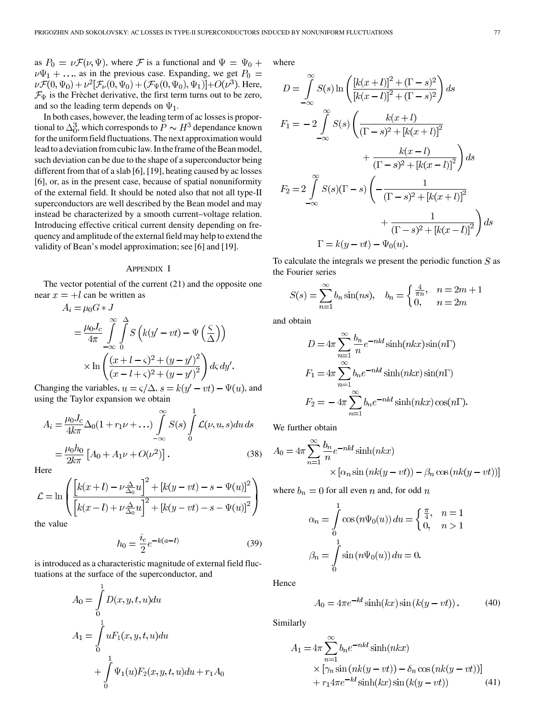as  $P_0 = \nu \mathcal{F}(\nu, \Psi)$ , where  $\mathcal F$  is a functional and  $\Psi = \Psi_0 + \Psi_0$  $\nu\Psi_1 + \ldots$ , as in the previous case. Expanding, we get  $P_0 =$  $\nu \mathcal{F}(0, \Psi_0) + \nu^2 [\mathcal{F}_\nu(0, \Psi_0) + (\mathcal{F}_\Psi(0, \Psi_0), \Psi_1)] + O(\nu^3)$ . Here,  $\mathcal{F}_{\Psi}$  is the Frèchet derivative, the first term turns out to be zero, and so the leading term depends on  $\Psi_1$ .

In both cases, however, the leading term of ac losses is proportional to  $\Delta_0^3$ , which corresponds to  $P \sim H^3$  dependance known for the uniform field fluctuations. The next approximation would lead to a deviation from cubic law. In the frame of the Bean model, such deviation can be due to the shape of a superconductor being different from that of a slab [\[6](#page-11-0)], [\[19](#page-11-0)], heating caused by ac losses [\[6](#page-11-0)], or, as in the present case, because of spatial nonuniformity of the external field. It should be noted also that not all type-II superconductors are well described by the Bean model and may instead be characterized by a smooth current–voltage relation. Introducing effective critical current density depending on frequency and amplitude of the external field may help to extend the validity of Bean's model approximation; see [[6\]](#page-11-0) and [[19\]](#page-11-0).

# APPENDIX I

The vector potential of the current (21) and the opposite one near  $x = +l$  can be written as

$$
A_i = \mu_0 G * J
$$
  
=  $\frac{\mu_0 J_c}{4\pi} \int_{-\infty}^{\infty} \int_{0}^{\Delta} S\left(k(y'-vt) - \Psi\left(\frac{\varsigma}{\Delta}\right)\right)$   

$$
\times \ln\left(\frac{(x+l-\varsigma)^2 + (y-y')^2}{(x-l+\varsigma)^2 + (y-y')^2}\right) d\varsigma dy'.
$$

Changing the variables,  $u = \varsigma/\Delta$ ,  $s = k(y'-vt) - \Psi(u)$ , and using the Taylor expansion we obtain

$$
A_{i} = \frac{\mu_{0}J_{c}}{4k\pi} \Delta_{0}(1 + r_{1}\nu + \dots) \int_{-\infty}^{\infty} S(s) \int_{0}^{1} \mathcal{L}(\nu, u, s) du ds
$$
  
=  $\frac{\mu_{0}h_{0}}{2k\pi} [A_{0} + A_{1}\nu + O(\nu^{2})].$  (38)

Here

$$
\mathcal{L} = \ln \left( \frac{\left[ k(x+l) - \nu \frac{\Delta}{\Delta_0} u \right]^2 + \left[ k(y - vt) - s - \Psi(u) \right]^2}{\left[ k(x-l) + \nu \frac{\Delta}{\Delta_0} u \right]^2 + \left[ k(y - vt) - s - \Psi(u) \right]^2} \right)
$$
he value

the value

$$
h_0 = \frac{i_e}{2} e^{-k(a-l)}
$$
 (39)

is introduced as a characteristic magnitude of external field fluctuations at the surface of the superconductor, and

$$
A_0 = \int_0^1 D(x, y, t, u) du
$$
  
\n
$$
A_1 = \int_0^1 uF_1(x, y, t, u) du
$$
  
\n
$$
+ \int_0^1 \Psi_1(u) F_2(x, y, t, u) du + r_1 A_0
$$

where

$$
D = \int_{-\infty}^{\infty} S(s) \ln \left( \frac{[k(x+l)]^2 + (\Gamma - s)^2}{[k(x-l)]^2 + (\Gamma - s)^2} \right) ds
$$
  
\n
$$
F_1 = -2 \int_{-\infty}^{\infty} S(s) \left( \frac{k(x+l)}{(\Gamma - s)^2 + [k(x+l)]^2} + \frac{k(x-l)}{(\Gamma - s)^2 + [k(x-l)]^2} \right) ds
$$
  
\n
$$
F_2 = 2 \int_{-\infty}^{\infty} S(s)(\Gamma - s) \left( -\frac{1}{(\Gamma - s)^2 + [k(x+l)]^2} + \frac{1}{(\Gamma - s)^2 + [k(x-l)]^2} \right) ds
$$
  
\n
$$
\Gamma = k(y - vt) - \Psi_0(u).
$$

To calculate the integrals we present the periodic function  $S$  as the Fourier series

$$
S(s) = \sum_{n=1}^{\infty} b_n \sin(ns), \quad b_n = \begin{cases} \frac{4}{\pi n}, & n = 2m + 1 \\ 0, & n = 2m \end{cases}
$$

and obtain

$$
D = 4\pi \sum_{n=1}^{\infty} \frac{b_n}{n} e^{-nkl} \sinh(nkx) \sin(n\Gamma)
$$
  
\n
$$
F_1 = 4\pi \sum_{n=1}^{\infty} b_n e^{-nkl} \sinh(nkx) \sin(n\Gamma)
$$
  
\n
$$
F_2 = -4\pi \sum_{n=1}^{\infty} b_n e^{-nkl} \sinh(nkx) \cos(n\Gamma).
$$

We further obtain

$$
A_0 = 4\pi \sum_{n=1}^{\infty} \frac{b_n}{n} e^{-nkl} \sinh(nkx)
$$

$$
\times [\alpha_n \sin(nk(y - vt)) - \beta_n \cos(nk(y - vt))]
$$

where  $b_n = 0$  for all even n and, for odd n

$$
\alpha_n = \int_0^1 \cos(n\Psi_0(u)) du = \begin{cases} \frac{\pi}{4}, & n = 1\\ 0, & n > 1 \end{cases}
$$

$$
\beta_n = \int_0^1 \sin(n\Psi_0(u)) du = 0.
$$

Hence

$$
A_0 = 4\pi e^{-kl} \sinh(kx) \sin(k(y - vt)).
$$
 (40)

Similarly

$$
A_1 = 4\pi \sum_{n=1}^{\infty} b_n e^{-nkl} \sinh(nkx)
$$
  
 
$$
\times \left[ \gamma_n \sin\left(nk(y - vt)\right) - \delta_n \cos\left(nk(y - vt)\right) \right]
$$
  
 
$$
+ r_1 4\pi e^{-kl} \sinh(kx) \sin\left(k(y - vt)\right) \tag{41}
$$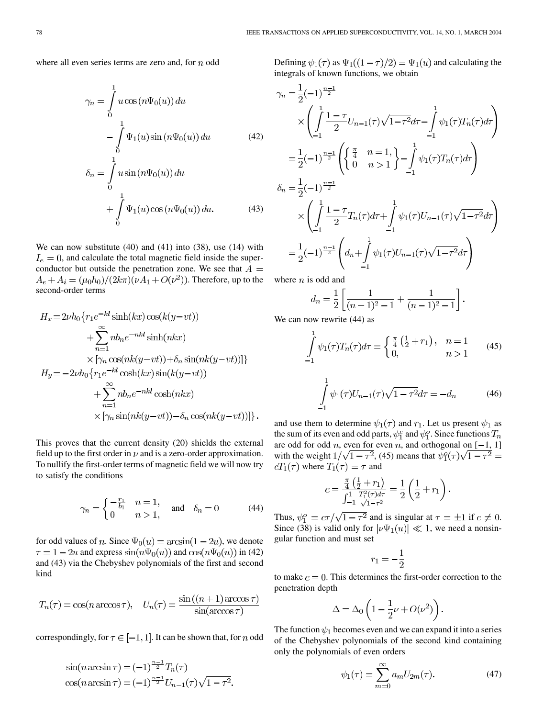where all even series terms are zero and, for  $n$  odd

$$
\gamma_n = \int_0^1 u \cos(n\Psi_0(u)) du
$$
  
\n
$$
- \int_0^1 \Psi_1(u) \sin(n\Psi_0(u)) du
$$
(42)  
\n
$$
\delta_n = \int_0^1 u \sin(n\Psi_0(u)) du
$$
  
\n
$$
+ \int_0^1 \Psi_1(u) \cos(n\Psi_0(u)) du.
$$
(43)

We can now substitute (40) and (41) into (38), use (14) with  $I_e = 0$ , and calculate the total magnetic field inside the superconductor but outside the penetration zone. We see that  $A =$  $A_e + A_i = (\mu_0 h_0)/(2k\pi)(\nu A_1 + O(\nu^2))$ . Therefore, up to the second-order terms

$$
H_x = 2\nu h_0 \{ r_1 e^{-kl} \sinh(kx) \cos(k(y - vt))
$$
  
+  $\sum_{n=1}^{\infty} nb_n e^{-nkl} \sinh(nkx)$   
 $\times [\gamma_n \cos(nk(y - vt)) + \delta_n \sin(nk(y - vt))]\}$   

$$
H_y = -2\nu h_0 \{ r_1 e^{-kl} \cosh(kx) \sin(k(y - vt))
$$
  
+  $\sum_{n=1}^{\infty} nb_n e^{-nkl} \cosh(nkx)$   
 $\times [\gamma_n \sin(nk(y - vt)) - \delta_n \cos(nk(y - vt))]\}.$ 

This proves that the current density (20) shields the external field up to the first order in  $\nu$  and is a zero-order approximation. To nullify the first-order terms of magnetic field we will now try to satisfy the conditions

$$
\gamma_n = \begin{cases} -\frac{r_1}{b_1} & n = 1, \\ 0 & n > 1, \end{cases} \quad \text{and} \quad \delta_n = 0 \tag{44}
$$

for odd values of *n*. Since  $\Psi_0(u) = \arcsin(1 - 2u)$ , we denote  $\tau = 1 - 2u$  and express  $\sin(n\Psi_0(u))$  and  $\cos(n\Psi_0(u))$  in (42) and (43) via the Chebyshev polynomials of the first and second kind

$$
T_n(\tau) = \cos(n \arccos \tau), \quad U_n(\tau) = \frac{\sin((n+1)\arccos \tau)}{\sin(\arccos \tau)}
$$

correspondingly, for  $\tau \in [-1, 1]$ . It can be shown that, for *n* odd

$$
\sin(n \arcsin \tau) = (-1)^{\frac{n-1}{2}} T_n(\tau)
$$
  
\n
$$
\cos(n \arcsin \tau) = (-1)^{\frac{n-1}{2}} U_{n-1}(\tau) \sqrt{1 - \tau^2}.
$$

Defining  $\psi_1(\tau)$  as  $\Psi_1((1-\tau)/2) = \Psi_1(u)$  and calculating the integrals of known functions, we obtain

$$
\gamma_n = \frac{1}{2}(-1)^{\frac{n-1}{2}}\times \left(\int_{-1}^{1} \frac{1-\tau}{2} U_{n-1}(\tau) \sqrt{1-\tau^2} d\tau - \int_{-1}^{1} \psi_1(\tau) T_n(\tau) d\tau\right)
$$
  
\n
$$
= \frac{1}{2}(-1)^{\frac{n-1}{2}} \left(\left\{\frac{\pi}{4} \quad n=1, \atop 0 \quad n>1\right\} - \int_{-1}^{1} \psi_1(\tau) T_n(\tau) d\tau\right)
$$
  
\n
$$
\delta_n = \frac{1}{2}(-1)^{\frac{n-1}{2}}\times \left(\int_{-1}^{1} \frac{1-\tau}{2} T_n(\tau) d\tau + \int_{-1}^{1} \psi_1(\tau) U_{n-1}(\tau) \sqrt{1-\tau^2} d\tau\right)
$$
  
\n
$$
= \frac{1}{2}(-1)^{\frac{n-1}{2}} \left(d_n + \int_{-1}^{1} \psi_1(\tau) U_{n-1}(\tau) \sqrt{1-\tau^2} d\tau\right)
$$

where  $n$  is odd and

$$
d_n = \frac{1}{2} \left[ \frac{1}{(n+1)^2 - 1} + \frac{1}{(n-1)^2 - 1} \right].
$$

We can now rewrite  $(44)$  as

$$
\int_{-1}^{1} \psi_1(\tau) T_n(\tau) d\tau = \begin{cases} \frac{\pi}{4} \left( \frac{1}{2} + r_1 \right), & n = 1 \\ 0, & n > 1 \end{cases}
$$
 (45)

$$
\int_{-1}^{1} \psi_1(\tau) U_{n-1}(\tau) \sqrt{1 - \tau^2} d\tau = -d_n \tag{46}
$$

and use them to determine  $\psi_1(\tau)$  and  $r_1$ . Let us present  $\psi_1$  as the sum of its even and odd parts,  $\psi_1^e$  and  $\psi_1^o$ . Since functions  $T_n$ are odd for odd n, even for even n, and orthogonal on  $[-1, 1]$ with the weight  $1/\sqrt{1-\tau^2}$ , (45) means that  $\psi_1^0(\tau)\sqrt{1-\tau^2}$  =  $cT_1(\tau)$  where  $T_1(\tau) = \tau$  and

$$
c = \frac{\frac{\pi}{4} \left( \frac{1}{2} + r_1 \right)}{\int_{-1}^{1} \frac{T_1^2(\tau) d\tau}{\sqrt{1 - \tau^2}}} = \frac{1}{2} \left( \frac{1}{2} + r_1 \right).
$$

Thus,  $\psi_1^o = c\tau/\sqrt{1-\tau^2}$  and is singular at  $\tau = \pm 1$  if  $c \neq 0$ . Since (38) is valid only for  $|\nu\Psi_1(u)| \ll 1$ , we need a nonsingular function and must set

$$
r_1 = -\frac{1}{2}
$$

to make  $c = 0$ . This determines the first-order correction to the penetration depth

$$
\Delta = \Delta_0 \left( 1 - \frac{1}{2} \nu + O(\nu^2) \right).
$$

The function  $\psi_1$  becomes even and we can expand it into a series of the Chebyshev polynomials of the second kind containing only the polynomials of even orders

$$
\psi_1(\tau) = \sum_{m=0}^{\infty} a_m U_{2m}(\tau). \tag{47}
$$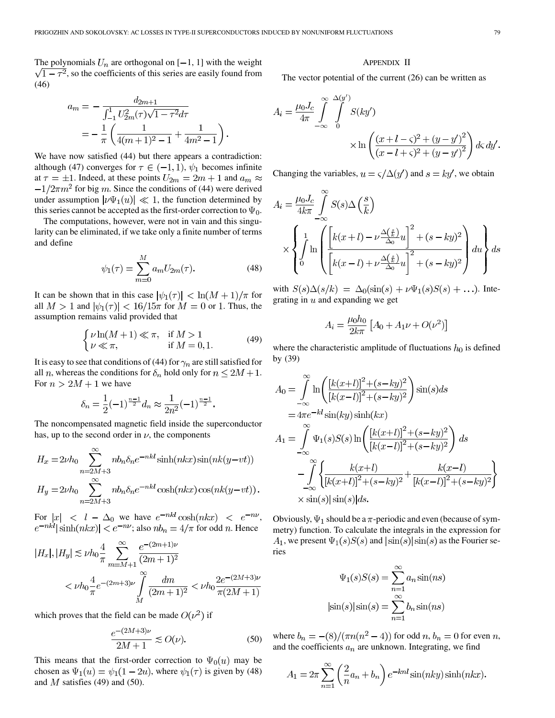The polynomials  $U_n$  are orthogonal on  $[-1, 1]$  with the weight  $\sqrt{1-\tau^2}$ , so the coefficients of this series are easily found from (46)

$$
a_m = -\frac{d_{2m+1}}{\int_{-1}^1 U_{2m}^2(\tau)\sqrt{1-\tau^2}d\tau}
$$
  
= 
$$
-\frac{1}{\pi}\left(\frac{1}{4(m+1)^2-1} + \frac{1}{4m^2-1}\right).
$$

We have now satisfied  $(44)$  but there appears a contradiction: although (47) converges for  $\tau \in (-1,1)$ ,  $\psi_1$  becomes infinite at  $\tau = \pm 1$ . Indeed, at these points  $U_{2m} = 2m + 1$  and  $a_m \approx$  $f_{\text{max}}$  for big m. Since the conditions of (44) were derived under assumption  $|\nu\Psi_1(u)| \ll 1$ , the function determined by this series cannot be accepted as the first-order correction to  $\Psi_0$ .

The computations, however, were not in vain and this singularity can be eliminated, if we take only a finite number of terms and define

$$
\psi_1(\tau) = \sum_{m=0}^{M} a_m U_{2m}(\tau).
$$
 (48)

It can be shown that in this case  $|\psi_1(\tau)| < \ln(M+1)/\pi$  for all  $M > 1$  and  $|\psi_1(\tau)| < 16/15\pi$  for  $M = 0$  or 1. Thus, the assumption remains valid provided that

$$
\begin{cases} \nu \ln(M+1) \ll \pi, & \text{if } M > 1\\ \nu \ll \pi, & \text{if } M = 0, 1. \end{cases}
$$
 (49)

It is easy to see that conditions of (44) for  $\gamma_n$  are still satisfied for all *n*, whereas the conditions for  $\delta_n$  hold only for  $n \leq 2M + 1$ . For  $n > 2M + 1$  we have

$$
\delta_n = \frac{1}{2}(-1)^{\frac{n-1}{2}} d_n \approx \frac{1}{2n^2}(-1)^{\frac{n-1}{2}}.
$$

The noncompensated magnetic field inside the superconductor has, up to the second order in  $\nu$ , the components

$$
H_x = 2\nu h_0 \sum_{n=2M+3}^{\infty} nb_n \delta_n e^{-nkl} \sinh(nkx) \sin(nk(y-vt))
$$
  
\n
$$
H_y = 2\nu h_0 \sum_{n=2M+3}^{\infty} nb_n \delta_n e^{-nkl} \cosh(nkx) \cos(nk(y-vt)).
$$

For  $|x| < l - \Delta_0$  we have  $e^{-nkt} \cosh(nkx) < e^{-nv}$ , ; also  $nb_n = 4/\pi$  for odd n. Hence

$$
|H_x|, |H_y| \lesssim \nu h_0 \frac{4}{\pi} \sum_{m=M+1}^{\infty} \frac{e^{-(2m+1)\nu}}{(2m+1)^2}
$$
  
<  $\nu h_0 \frac{4}{\pi} e^{-(2m+3)\nu} \int_M^{\infty} \frac{dm}{(2m+1)^2} < \nu h_0 \frac{2e^{-(2M+3)\nu}}{\pi(2M+1)}$ 

which proves that the field can be made  $O(\nu^2)$  if

$$
\frac{e^{-(2M+3)\nu}}{2M+1} \lesssim O(\nu). \tag{50}
$$

This means that the first-order correction to  $\Psi_0(u)$  may be chosen as  $\Psi_1(u) = \psi_1(1-2u)$ , where  $\psi_1(\tau)$  is given by (48) and  $M$  satisfies (49) and (50).

#### APPENDIX II

The vector potential of the current (26) can be written as

$$
A_{i} = \frac{\mu_{0}J_{c}}{4\pi} \int_{-\infty}^{\infty} \int_{0}^{\Delta(y')} S(ky') \times \ln\left(\frac{(x+l-s)^{2} + (y-y')^{2}}{(x-l+s)^{2} + (y-y')^{2}}\right) d\varsigma dy'.
$$

Changing the variables,  $u = \varsigma/\Delta(y')$  and  $s = ky'$ , we obtain

$$
A_i = \frac{\mu_0 J_c}{4k\pi} \int_{-\infty}^{\infty} S(s) \Delta\left(\frac{s}{k}\right)
$$
  
 
$$
\times \left\{ \int_0^1 \ln \left( \frac{\left[k(x+l) - \nu \frac{\Delta(\frac{s}{k})}{\Delta_0} u\right]^2 + (s - ky)^2}{\left[k(x-l) + \nu \frac{\Delta(\frac{s}{k})}{\Delta_0} u\right]^2 + (s - ky)^2} \right) du \right\} ds
$$

with  $S(s)\Delta(s/k) = \Delta_0(\sin(s) + \nu\Psi_1(s)S(s) + \ldots)$ . Integrating in  $u$  and expanding we get

$$
A_i = \frac{\mu_0 h_0}{2k\pi} \left[ A_0 + A_1 \nu + O(\nu^2) \right]
$$

where the characteristic amplitude of fluctuations  $h_0$  is defined by (39)

$$
A_0 = \int_{-\infty}^{\infty} \ln\left(\frac{[k(x+l)]^2 + (s - ky)^2}{[k(x-l)]^2 + (s - ky)^2}\right) \sin(s)ds
$$
  
\n
$$
= 4\pi e^{-kt} \sin(ky) \sinh(kx)
$$
  
\n
$$
A_1 = \int_{-\infty}^{\infty} \Psi_1(s)S(s) \ln\left(\frac{[k(x+l)]^2 + (s - ky)^2}{[k(x-l)]^2 + (s - ky)^2}\right) ds
$$
  
\n
$$
- \int_{-\infty}^{\infty} \left\{\frac{k(x+l)}{[k(x+l)]^2 + (s - ky)^2} + \frac{k(x-l)}{[k(x-l)]^2 + (s - ky)^2}\right\}
$$
  
\n
$$
\times \sin(s) |\sin(s)| ds.
$$

Obviously,  $\Psi_1$  should be a  $\pi$ -periodic and even (because of symmetry) function. To calculate the integrals in the expression for  $A_1$ , we present  $\Psi_1(s)S(s)$  and  $|\sin(s)|\sin(s)$  as the Fourier series

$$
\Psi_1(s)S(s) = \sum_{n=1}^{\infty} a_n \sin(ns)
$$

$$
|\sin(s)|\sin(s) = \sum_{n=1}^{\infty} b_n \sin(ns)
$$

where  $b_n = -(8)/(\pi n(n^2 - 4))$  for odd  $n, b_n = 0$  for even  $n$ , and the coefficients  $a_n$  are unknown. Integrating, we find

$$
A_1 = 2\pi \sum_{n=1}^{\infty} \left(\frac{2}{n}a_n + b_n\right) e^{-knl} \sin(nky) \sinh(nkx).
$$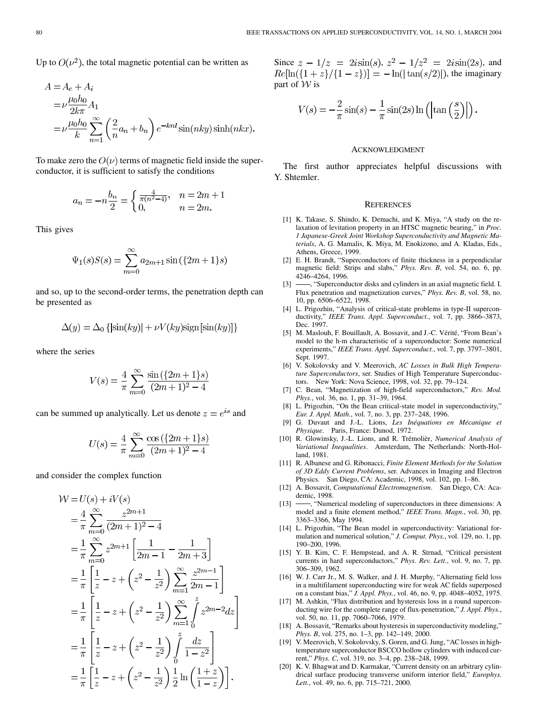<span id="page-11-0"></span>
$$
A = A_e + A_i
$$
  
=  $\nu \frac{\mu_0 h_0}{2k\pi} A_1$   
=  $\nu \frac{\mu_0 h_0}{k} \sum_{n=1}^{\infty} \left(\frac{2}{n} a_n + b_n\right) e^{-knl} \sin(nky) \sinh(nkx).$ 

To make zero the  $O(\nu)$  terms of magnetic field inside the superconductor, it is sufficient to satisfy the conditions

$$
a_n = -n \frac{b_n}{2} = \begin{cases} \frac{4}{\pi (n^2 - 4)}, & n = 2m + 1\\ 0, & n = 2m. \end{cases}
$$

This gives

$$
\Psi_1(s)S(s) = \sum_{m=0}^{\infty} a_{2m+1} \sin(\{2m+1\}s)
$$

and so, up to the second-order terms, the penetration depth can be presented as

$$
\Delta(y) = \Delta_0 \{ |\sin(ky)| + \nu V(ky) \text{sign} [\sin(ky)] \}
$$

where the series

$$
V(s) = \frac{4}{\pi} \sum_{m=0}^{\infty} \frac{\sin(\{2m+1\}s)}{(2m+1)^2 - 4}
$$

can be summed up analytically. Let us denote  $z = e^{is}$  and

$$
U(s) = \frac{4}{\pi} \sum_{m=0}^{\infty} \frac{\cos(\{2m+1\}s)}{(2m+1)^2 - 4}
$$

and consider the complex function

$$
\mathcal{W} = U(s) + iV(s)
$$
  
\n
$$
= \frac{4}{\pi} \sum_{m=0}^{\infty} \frac{z^{2m+1}}{(2m+1)^2 - 4}
$$
  
\n
$$
= \frac{1}{\pi} \sum_{m=0}^{\infty} z^{2m+1} \left[ \frac{1}{2m-1} - \frac{1}{2m+3} \right]
$$
  
\n
$$
= \frac{1}{\pi} \left[ \frac{1}{z} - z + \left( z^2 - \frac{1}{z^2} \right) \sum_{m=1}^{\infty} \frac{z^{2m-1}}{2m-1} \right]
$$
  
\n
$$
= \frac{1}{\pi} \left[ \frac{1}{z} - z + \left( z^2 - \frac{1}{z^2} \right) \sum_{m=1}^{\infty} \int_0^z z^{2m-2} dz \right]
$$
  
\n
$$
= \frac{1}{\pi} \left[ \frac{1}{z} - z + \left( z^2 - \frac{1}{z^2} \right) \int_0^z \frac{dz}{1 - z^2} \right]
$$
  
\n
$$
= \frac{1}{\pi} \left[ \frac{1}{z} - z + \left( z^2 - \frac{1}{z^2} \right) \frac{1}{2} \ln \left( \frac{1+z}{1 - z} \right) \right].
$$

Since  $z - 1/z = 2i\sin(s), z^2 - 1/z^2 = 2i\sin(2s)$ , and  $Re[\ln({1 + z}/{{1 - z}})] = -\ln(|tan(s/2)|)$ , the imaginary part of  $W$  is

$$
V(s) = -\frac{2}{\pi}\sin(s) - \frac{1}{\pi}\sin(2s)\ln\left(\left|\tan\left(\frac{s}{2}\right)\right|\right).
$$

### ACKNOWLEDGMENT

The first author appreciates helpful discussions with Y. Shtemler.

#### **REFERENCES**

- [1] K. Takase, S. Shindo, K. Demachi, and K. Miya, "A study on the relaxation of levitation property in an HTSC magnetic bearing," in *Proc. 1 Japanese-Greek Joint Workshop Superconductivity and Magnetic Materials*, A. G. Mamalis, K. Miya, M. Enokizono, and A. Kladas, Eds., Athens, Greece, 1999.
- [2] E. H. Brandt, "Superconductors of finite thickness in a perpendicular magnetic field: Strips and slabs," *Phys. Rev. B*, vol. 54, no. 6, pp. 4246–4264, 1996.
- [3]  $\rightarrow$  "Superconductor disks and cylinders in an axial magnetic field. I. Flux penetration and magnetization curves," *Phys. Rev. B*, vol. 58, no. 10, pp. 6506–6522, 1998.
- [4] L. Prigozhin, "Analysis of critical-state problems in type-II superconductivity," *IEEE Trans. Appl. Superconduct.*, vol. 7, pp. 3866–3873, Dec. 1997.
- [5] M. Maslouh, F. Bouillault, A. Bossavit, and J.-C. Vérité, "From Bean's model to the h-m characteristic of a superconductor: Some numerical experiments," *IEEE Trans. Appl. Superconduct.*, vol. 7, pp. 3797–3801, Sept. 1997.
- [6] V. Sokolovsky and V. Meerovich, *AC Losses in Bulk High Temperature Superconductors*, ser. Studies of High Temperature Superconductors. New York: Nova Science, 1998, vol. 32, pp. 79–124.
- [7] C. Bean, "Magnetization of high-field superconductors," *Rev. Mod. Phys.*, vol. 36, no. 1, pp. 31–39, 1964.
- [8] L. Prigozhin, "On the Bean critical-state model in superconductivity," *Eur. J. Appl. Math.*, vol. 7, no. 3, pp. 237–248, 1996.
- [9] G. Duvaut and J.-L. Lions, *Les Inéquations en Mécanique et Physique*. Paris, France: Dunod, 1972.
- [10] R. Glowinsky, J.-L. Lions, and R. Trémolièr, *Numerical Analysis of Variational Inequalities*. Amsterdam, The Netherlands: North-Holland, 1981.
- [11] R. Albanese and G. Ribonacci, *Finite Element Methods for the Solution of 3D Eddy Current Problems*, ser. Advances in Imaging and Electron Physics. San Diego, CA: Academic, 1998, vol. 102, pp. 1–86.
- [12] A. Bossavit, *Computational Electromagnetism*. San Diego, CA: Academic, 1998.
- [13]  $\rightarrow$  "Numerical modeling of superconductors in three dimensions: A model and a finite element method," *IEEE Trans. Magn.*, vol. 30, pp. 3363–3366, May 1994.
- [14] L. Prigozhin, "The Bean model in superconductivity: Variational formulation and numerical solution," *J. Comput. Phys.*, vol. 129, no. 1, pp. 190–200, 1996.
- [15] Y. B. Kim, C. F. Hempstead, and A. R. Strnad, "Critical persistent currents in hard superconductors," *Phys. Rev. Lett.*, vol. 9, no. 7, pp. 306–309, 1962.
- [16] W. J. Carr Jr., M. S. Walker, and J. H. Murphy, "Alternating field loss in a multifilament superconducting wire for weak AC fields superposed on a constant bias," *J. Appl. Phys.*, vol. 46, no. 9, pp. 4048–4052, 1975.
- [17] M. Ashkin, "Flux distribution and hysteresis loss in a round superconducting wire for the complete range of flux-penetration," *J. Appl. Phys.*, vol. 50, no. 11, pp. 7060–7066, 1979.
- [18] A. Bossavit, "Remarks about hysteresis in superconductivity modeling," *Phys. B*, vol. 275, no. 1–3, pp. 142–149, 2000.
- [19] V. Meerovich, V. Sokolovsky, S. Goren, and G. Jung, "AC losses in hightemperature superconductor BSCCO hollow cylinders with induced current," *Phys. C*, vol. 319, no. 3–4, pp. 238–248, 1999.
- [20] K. V. Bhagwat and D. Karmakar, "Current density on an arbitrary cylindrical surface producing transverse uniform interior field," *Europhys. Lett.*, vol. 49, no. 6, pp. 715–721, 2000.

J,